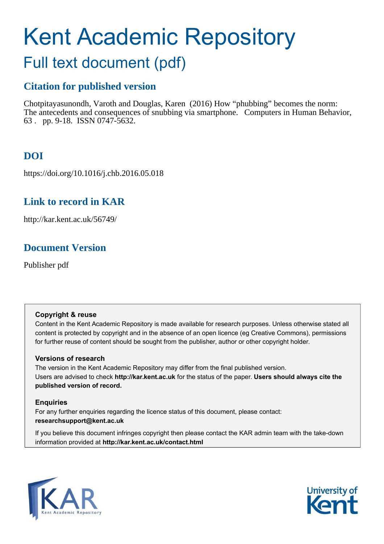# <span id="page-0-0"></span>Kent Academic Repository

# Full text document (pdf)

# **Citation for published version**

Chotpitayasunondh, Varoth and Douglas, Karen (2016) How "phubbing" becomes the norm: The antecedents and consequences of snubbing via smartphone. Computers in Human Behavior, 63 . pp. 9-18. ISSN 0747-5632.

# **DOI**

https://doi.org/10.1016/j.chb.2016.05.018

# **Link to record in KAR**

http://kar.kent.ac.uk/56749/

# **Document Version**

Publisher pdf

# **Copyright & reuse**

Content in the Kent Academic Repository is made available for research purposes. Unless otherwise stated all content is protected by copyright and in the absence of an open licence (eg Creative Commons), permissions for further reuse of content should be sought from the publisher, author or other copyright holder.

# **Versions of research**

The version in the Kent Academic Repository may differ from the final published version. Users are advised to check **http://kar.kent.ac.uk** for the status of the paper. **Users should always cite the published version of record.**

# **Enquiries**

For any further enquiries regarding the licence status of this document, please contact: **researchsupport@kent.ac.uk**

If you believe this document infringes copyright then please contact the KAR admin team with the take-down information provided at **http://kar.kent.ac.uk/contact.html**



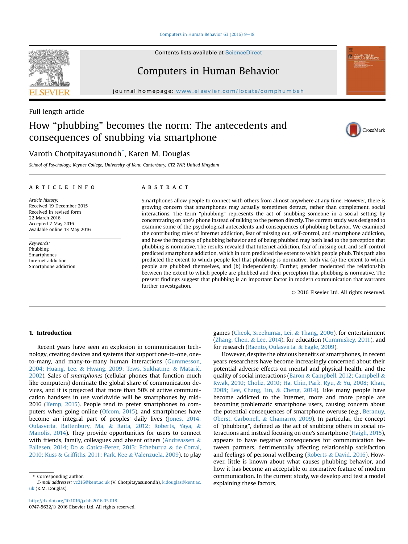Computers in Human Behavior  $63$  (2016) 9-[18](http://dx.doi.org/10.1016/j.chb.2016.05.018)

Contents lists available at [ScienceDirect](www.sciencedirect.com/science/journal/07475632)

# Computers in Human Behavior

journal homepage: <www.elsevier.com/locate/comphumbeh>

### Full length article

# How "phubbing" becomes the norm: The antecedents and consequences of snubbing via smartphone

# Varoth Chotpitayasunondh[\\*](#page-0-0) , Karen M. Douglas

*School of Psychology, Keynes College, University of Kent, Canterbury, CT2 7NP, United Kingdom*

#### article info

*Article history:* Received 19 December 2015 Received in revised form 22 March 2016 Accepted 7 May 2016 Available online 13 May 2016

*Keywords:* Phubbing Smartphones Internet addiction Smartphone addiction

#### **ABSTRACT**

Smartphones allow people to connect with others from almost anywhere at any time. However, there is growing concern that smartphones may actually sometimes detract, rather than complement, social interactions. The term "phubbing" represents the act of snubbing someone in a social setting by concentrating on one's phone instead of talking to the person directly. The current study was designed to examine some of the psychological antecedents and consequences of phubbing behavior. We examined the contributing roles of Internet addiction, fear of missing out, self-control, and smartphone addiction, and how the frequency of phubbing behavior and of being phubbed may both lead to the perception that phubbing is normative. The results revealed that Internet addiction, fear of missing out, and self-control predicted smartphone addiction, which in turn predicted the extent to which people phub. This path also predicted the extent to which people feel that phubbing is normative, both via (a) the extent to which people are phubbed themselves, and (b) independently. Further, gender moderated the relationship between the extent to which people are phubbed and their perception that phubbing is normative. The present findings suggest that phubbing is an important factor in modern communication that warrants further investigation.

© 2016 Elsevier Ltd. All rights reserved.

#### 1. Introduction

Recent years have seen an explosion in communication technology, creating devices and systems that support one-to-one, oneto-many, and many-to-many human interactions ([Gummesson,](#page-8-0) [2004; Huang, Lee,](#page-8-0) & [Hwang, 2009; Tews, Sukhatme,](#page-8-0) & [Matari](#page-8-0)c[,](#page-8-0) [2002\)](#page-8-0). Sales of *smartphones* (cellular phones that function much like computers) dominate the global share of communication devices, and it is projected that more than 50% of active communication handsets in use worldwide will be smartphones by mid-2016 [\(Kemp, 2015](#page-9-0)). People tend to prefer smartphones to computers when going online [\(Ofcom, 2015](#page-9-0)), and smartphones have become an integral part of peoples' daily lives [\(Jones, 2014;](#page-8-0) [Oulasvirta, Rattenbury, Ma,](#page-8-0) & [Raita, 2012; Roberts, Yaya,](#page-8-0) & [Manolis, 2014](#page-8-0)). They provide opportunities for users to connect with friends, family, colleagues and absent others [\(Andreassen](#page-8-0) & [Pallesen, 2014; Do](#page-8-0) & [Gatica-Perez, 2013; Echeburua](#page-8-0) & [de Corral,](#page-8-0) [2010; Kuss](#page-8-0) & Griffi[ths, 2011; Park, Kee](#page-8-0) & [Valenzuela, 2009\)](#page-8-0), to play

\* Corresponding author.

*E-mail addresses:* [vc216@kent.ac.uk](mailto:vc216@kent.ac.uk) (V. Chotpitayasunondh), [k.douglas@kent.ac.](mailto:k.douglas@kent.ac.uk) [uk](mailto:k.douglas@kent.ac.uk) (K.M. Douglas).

games ([Cheok, Sreekumar, Lei,](#page-8-0) & [Thang, 2006\)](#page-8-0), for entertainment ([Zhang, Chen,](#page-9-0) & [Lee, 2014\)](#page-9-0), for education ([Cummiskey, 2011\)](#page-8-0), and for research [\(Raento, Oulasvirta,](#page-9-0) & [Eagle, 2009](#page-9-0)).

However, despite the obvious benefits of smartphones, in recent years researchers have become increasingly concerned about their potential adverse effects on mental and physical health, and the quality of social interactions ([Baron](#page-8-0) & [Campbell, 2012; Campbell](#page-8-0) & [Kwak, 2010; Choliz, 2010; Ha, Chin, Park, Ryu,](#page-8-0) & [Yu, 2008; Khan,](#page-8-0) [2008; Lee, Chang, Lin,](#page-8-0) & [Cheng, 2014\)](#page-8-0). Like many people have become addicted to the Internet, more and more people are becoming problematic smartphone users, causing concern about the potential consequences of smartphone overuse (e.g., [Beranuy,](#page-8-0) [Oberst, Carbonell,](#page-8-0) & [Chamarro, 2009\)](#page-8-0). In particular, the concept of "phubbing", defined as the act of snubbing others in social interactions and instead focusing on one's smartphone [\(Haigh, 2015\)](#page-8-0), appears to have negative consequences for communication between partners, detrimentally affecting relationship satisfaction and feelings of personal wellbeing ([Roberts](#page-9-0) & [David, 2016\)](#page-9-0). However, little is known about what causes phubbing behavior, and how it has become an acceptable or normative feature of modern communication. In the current study, we develop and test a model explaining these factors.



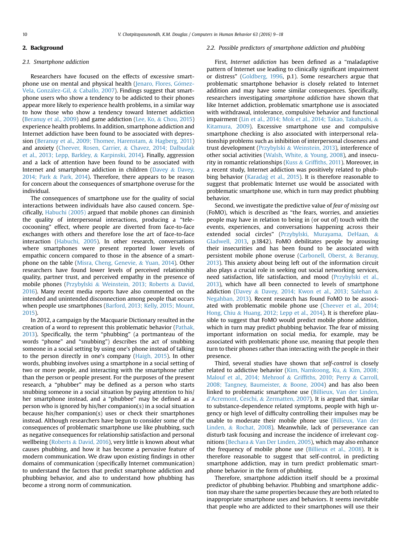#### 2. Background

#### *2.1. Smartphone addiction*

Researchers have focused on the effects of excessive smartphone use on mental and physical health (Jenaro, Flores, Gómez-Vela, González-Gil, & [Caballo, 2007](#page-8-0)). Findings suggest that smartphone users who show a tendency to be addicted to their phones appear more likely to experience health problems, in a similar way to how those who show a tendency toward Internet addiction ([Beranuy et al., 2009\)](#page-8-0) and game addiction [\(Lee, Ko,](#page-9-0) & [Chou, 2015\)](#page-9-0) experience health problems. In addition, smartphone addiction and Internet addiction have been found to be associated with depression [\(Beranuy et al., 2009; Thomee, Harenstam,](#page-8-0) & [Hagberg, 2011\)](#page-8-0) and anxiety [\(Cheever, Rosen, Carrier,](#page-8-0) & [Chavez, 2014; Dalbudak](#page-8-0) [et al., 2013; Lepp, Barkley,](#page-8-0) & [Karpinski, 2014\)](#page-8-0). Finally, aggression and a lack of attention have been found to be associated with Internet and smartphone addiction in children [\(Davey](#page-8-0)  $\&$  [Davey,](#page-8-0) [2014; Park](#page-8-0) & [Park, 2014](#page-8-0)). Therefore, there appears to be reason for concern about the consequences of smartphone overuse for the individual.

The consequences of smartphone use for the quality of social interactions between individuals have also caused concern. Specifically, [Habuchi \(2005\)](#page-8-0) argued that mobile phones can diminish the quality of interpersonal interactions, producing a "telecocooning" effect, where people are diverted from face-to-face exchanges with others and therefore lose the art of face-to-face interaction ([Habuchi, 2005](#page-8-0)). In other research, conversations where smartphones were present reported lower levels of empathic concern compared to those in the absence of a smartphone on the table ([Misra, Cheng, Genevie,](#page-9-0) & [Yuan, 2014](#page-9-0)). Other researchers have found lower levels of perceived relationship quality, partner trust, and perceived empathy in the presence of mobile phones ([Przybylski](#page-9-0) & [Weinstein, 2013; Roberts](#page-9-0) & [David,](#page-9-0) [2016](#page-9-0)). Many recent media reports have also commented on the intended and unintended disconnection among people that occurs when people use smartphones ([Barford, 2013; Kelly, 2015; Mount,](#page-8-0) [2015](#page-8-0)).

In 2012, a campaign by the Macquarie Dictionary resulted in the creation of a word to represent this problematic behavior [\(Pathak,](#page-9-0) [2013](#page-9-0)). Specifically, the term "phubbing" (a portmanteau of the words "phone" and "snubbing") describes the act of snubbing someone in a social setting by using one's phone instead of talking to the person directly in one's company ([Haigh, 2015\)](#page-8-0). In other words, phubbing involves using a smartphone in a social setting of two or more people, and interacting with the smartphone rather than the person or people present. For the purposes of the present research, a "phubber" may be defined as a person who starts snubbing someone in a social situation by paying attention to his/ her smartphone instead, and a "phubbee" may be defined as a person who is ignored by his/her companion(s) in a social situation because his/her companion(s) uses or check their smartphones instead. Although researchers have begun to consider some of the consequences of problematic smartphone use like phubbing, such as negative consequences for relationship satisfaction and personal wellbeing [\(Roberts](#page-9-0) & [David, 2016\)](#page-9-0), very little is known about what causes phubbing, and how it has become a pervasive feature of modern communication. We draw upon existing findings in other domains of communication (specifically Internet communication) to understand the factors that predict smartphone addiction and phubbing behavior, and also to understand how phubbing has become a strong norm of communication.

#### *2.2. Possible predictors of smartphone addiction and phubbing*

First, *Internet addiction* has been defined as a "maladaptive pattern of Internet use leading to clinically significant impairment or distress" ([Goldberg, 1996,](#page-8-0) p.1). Some researchers argue that problematic smartphone behavior is closely related to Internet addition and may have some similar consequences. Specifically, researchers investigating *smartphone addiction* have shown that like Internet addiction, problematic smartphone use is associated with withdrawal, intolerance, compulsive behavior and functional impairment [\(Lin et al., 2014; Mok et al., 2014; Takao, Takahashi,](#page-9-0) & [Kitamura, 2009](#page-9-0)). Excessive smartphone use and compulsive smartphone checking is also associated with interpersonal relationship problems such as inhibition of interpersonal closeness and trust development ([Przybylski](#page-9-0) & [Weinstein, 2013](#page-9-0)), interference of other social activities [\(Walsh, White,](#page-9-0) & [Young, 2008\)](#page-9-0), and insecurity in romantic relationships [\(Kuss](#page-9-0) & Griffi[ths, 2011](#page-9-0)). Moreover, in a recent study, Internet addiction was positively related to phub-bing behavior ([Karada](#page-8-0)ğ [et al., 2015](#page-8-0)). It is therefore reasonable to suggest that problematic Internet use would be associated with problematic smartphone use, which in turn may predict phubbing behavior.

Second, we investigate the predictive value of *fear of missing out* (FoMO), which is described as "the fears, worries, and anxieties people may have in relation to being in (or out of) touch with the events, experiences, and conversations happening across their extended social circles" [\(Przybylski, Murayama, DeHaan,](#page-9-0) & [Gladwell, 2013,](#page-9-0) p.1842). FoMO debilitates people by arousing their insecurities and has been found to be associated with persistent mobile phone overuse [\(Carbonell, Oberst,](#page-8-0) & [Beranuy,](#page-8-0) [2013\)](#page-8-0). This anxiety about being left out of the information circuit also plays a crucial role in seeking out social networking services, need satisfaction, life satisfaction, and mood [\(Przybylski et al.,](#page-9-0) [2013\)](#page-9-0), which have all been connected to levels of smartphone addiction [\(Davey](#page-8-0) & [Davey, 2014; Kwon et al., 2013; Salehan](#page-8-0) & [Negahban, 2013](#page-8-0)). Recent research has found FoMO to be associated with problematic mobile phone use [\(Cheever et al., 2014;](#page-8-0) [Hong, Chiu](#page-8-0) & [Huang, 2012; Lepp et al., 2014](#page-8-0)). It is therefore plausible to suggest that FoMO would predict mobile phone addition, which in turn may predict phubbing behavior. The fear of missing important information on social media, for example, may be associated with problematic phone use, meaning that people then turn to their phones rather than interacting with the people in their presence.

Third, several studies have shown that *self-control* is closely related to addictive behavior ([Kim, Namkoong, Ku,](#page-9-0) & [Kim, 2008;](#page-9-0) [Malouf et al., 2014; Mehroof](#page-9-0) & Griffi[ths, 2010; Perry](#page-9-0) & [Carroll,](#page-9-0) [2008; Tangney, Baumeister,](#page-9-0) & [Boone, 2004\)](#page-9-0) and has also been linked to problematic smartphone use [\(Billieux, Van der Linden,](#page-8-0) d'[Acremont, Ceschi,](#page-8-0) & [Zermatten, 2007](#page-8-0)). It is argued that, similar to substance-dependence related symptoms, people with high urgency or high level of difficulty controlling their impulses may be unable to moderate their mobile phone use [\(Billieux, Van der](#page-8-0) [Linden,](#page-8-0) & [Rochat, 2008](#page-8-0)). Meanwhile, lack of perseverance can disturb task focusing and increase the incidence of irrelevant cognitions ([Bechara](#page-8-0) & [Van Der Linden, 2005\)](#page-8-0), which may also enhance the frequency of mobile phone use [\(Billieux et al., 2008\)](#page-8-0). It is therefore reasonable to suggest that self-control, in predicting smartphone addiction, may in turn predict problematic smartphone behavior in the form of phubbing.

Therefore, smartphone addiction itself should be a proximal predictor of phubbing behavior. Phubbing and smartphone addiction may share the same properties because they are both related to inappropriate smartphone uses and behaviors. It seems inevitable that people who are addicted to their smartphones will use their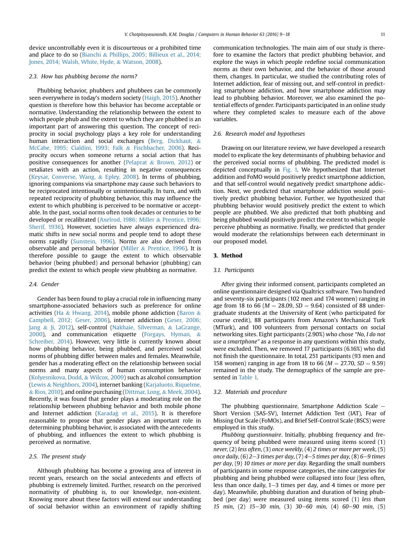<span id="page-3-0"></span>device uncontrollably even it is discourteous or a prohibited time and place to do so ([Bianchi](#page-8-0) & [Phillips, 2005; Billieux et al., 2014;](#page-8-0) [Jones, 2014; Walsh, White, Hyde,](#page-8-0) & [Watson, 2008\)](#page-8-0).

#### *2.3. How has phubbing become the norm?*

Phubbing behavior, phubbers and phubbees can be commonly seen everywhere in today's modern society [\(Haigh, 2015\)](#page-8-0). Another question is therefore how this behavior has become acceptable or normative. Understanding the relationship between the extent to which people phub and the extent to which they are phubbed is an important part of answering this question. The concept of reciprocity in social psychology plays a key role for understanding human interaction and social exchanges ([Berg, Dickhaut,](#page-8-0) & [McCabe, 1995; Cialdini, 1993; Falk](#page-8-0) & [Fischbacher, 2006](#page-8-0)). Reciprocity occurs when someone returns a social action that has positive consequences for another ([Pelaprat](#page-9-0) & [Brown, 2012](#page-9-0)) or retaliates with an action, resulting in negative consequences ([Keysar, Converse, Wang,](#page-9-0) & [Epley, 2008\)](#page-9-0). In terms of phubbing, ignoring companions via smartphone may cause such behaviors to be reciprocated intentionally or unintentionally. In turn, and with repeated reciprocity of phubbing behavior, this may influence the extent to which phubbing is perceived to be normative or acceptable. In the past, social norms often took decades or centuries to be developed or recalibrated ([Axelrod, 1986; Miller](#page-8-0) & [Prentice, 1996;](#page-8-0) [Sherif, 1936\)](#page-8-0). However, societies have always experienced dramatic shifts in new social norms and people tend to adopt these norms rapidly ([Sunstein, 1996](#page-9-0)). Norms are also derived from observable and personal behavior ([Miller](#page-9-0) & [Prentice, 1996](#page-9-0)). It is therefore possible to gauge the extent to which observable behavior (being phubbed) and personal behavior (phubbing) can predict the extent to which people view phubbing as normative.

#### *2.4. Gender*

Gender has been found to play a crucial role in influencing many smartphone-associated behaviors such as preference for online activities [\(Ha](#page-8-0) & [Hwang, 2014\)](#page-8-0), mobile phone addiction ([Baron](#page-8-0) & [Campbell, 2012; Geser, 2006\)](#page-8-0), internet addiction [\(Geser, 2006;](#page-8-0) [Jang](#page-8-0) & [Ji, 2012\)](#page-8-0), self-control [\(Nakhaie, Silverman,](#page-9-0) & [LaGrange,](#page-9-0) [2000](#page-9-0)), and communication etiquette ([Forgays, Hyman,](#page-8-0) & [Schreiber, 2014\)](#page-8-0). However, very little is currently known about how phubbing behavior, being phubbed, and perceived social norms of phubbing differ between males and females. Meanwhile, gender has a moderating effect on the relationship between social norms and many aspects of human consumption behavior ([Kolyesnikova, Dodd,](#page-9-0) & [Wilcox, 2009\)](#page-9-0) such as alcohol consumption ([Lewis](#page-9-0) & [Neighbors, 2004\)](#page-9-0), internet banking [\(Karjaluoto, Riquelme,](#page-9-0) & [Rios, 2010](#page-9-0)), and online purchasing [\(Dittmar, Long,](#page-8-0) & [Meek, 2004\)](#page-8-0). Recently, it was found that gender plays a moderating role on the relationship between phubbing behavior and both mobile phone and Internet addiction [\(Karada](#page-8-0)ğ [et al., 2015](#page-8-0)). It is therefore reasonable to propose that gender plays an important role in determining phubbing behavior, is associated with the antecedents of phubbing, and influences the extent to which phubbing is perceived as normative.

#### *2.5. The present study*

Although phubbing has become a growing area of interest in recent years, research on the social antecedents and effects of phubbing is extremely limited. Further, research on the perceived normativity of phubbing is, to our knowledge, non-existent. Knowing more about these factors will extend our understanding of social behavior within an environment of rapidly shifting communication technologies. The main aim of our study is therefore to examine the factors that predict phubbing behavior, and explore the ways in which people redefine social communication norms as their own behavior, and the behavior of those around them, changes. In particular, we studied the contributing roles of Internet addiction, fear of missing out, and self-control in predicting smartphone addiction, and how smartphone addiction may lead to phubbing behavior. Moreover, we also examined the potential effects of gender. Participants participated in an online study where they completed scales to measure each of the above variables.

#### *2.6. Research model and hypotheses*

Drawing on our literature review, we have developed a research model to explicate the key determinants of phubbing behavior and the perceived social norms of phubbing. The predicted model is depicted conceptually in Fig. 1. We hypothesized that Internet addition and FoMO would positively predict smartphone addiction, and that self-control would negatively predict smartphone addiction. Next, we predicted that smartphone addiction would positively predict phubbing behavior. Further, we hypothesized that phubbing behavior would positively predict the extent to which people are phubbed. We also predicted that both phubbing and being phubbed would positively predict the extent to which people perceive phubbing as normative. Finally, we predicted that gender would moderate the relationships between each determinant in our proposed model.

#### 3. Method

#### *3.1. Participants*

After giving their informed consent, participants completed an online questionnaire designed via Qualtrics software. Two hundred and seventy-six participants (102 men and 174 women) ranging in age from 18 to 66 ( $M = 28.09$ ,  $SD = 9.64$ ) consisted of 88 undergraduate students at the University of Kent (who participated for course credit), 88 participants from Amazon's Mechanical Turk (MTurk), and 100 volunteers from personal contacts on social networking sites. Eight participants (2.90%) who chose "*No, I do not use a smartphone*" as a response in any questions within this study, were excluded. Then, we removed 17 participants (6.16%) who did not finish the questionnaire. In total, 251 participants (93 men and 158 women) ranging in age from 18 to 66 ( $M = 27.70$ ,  $SD = 9.59$ ) remained in the study. The demographics of the sample are presented in Table 1.

#### *3.2. Materials and procedure*

The phubbing questionnaire, Smartphone Addiction Scale  $-$ Short Version (SAS-SV), Internet Addiction Test (IAT), Fear of Missing Out Scale (FoMOs), and Brief Self-Control Scale (BSCS) were employed in this study.

*Phubbing questionnaire*. Initially, phubbing frequency and frequency of being phubbed were measured using items scored (1) *never*, (2) *less often*, (3) *once weekly*, (4) *2 times or more per week*, (5) *once daily*, (6) *2*e*3 times per day*, (7) *4*e*5 times per day*, (8) *6*e*9 times per day*, (9) *10 times or more per day*. Regarding the small numbers of participants in some response categories, the nine categories for phubbing and being phubbed were collapsed into four (less often, less than once daily,  $1-3$  times per day, and 4 times or more per day). Meanwhile, phubbing duration and duration of being phubbed (per day) were measured using items scored (1) *less than 15 min*, (2) *15*e*30 min*, (3) *30*e*60 min*, (4) *60*e*90 min*, (5)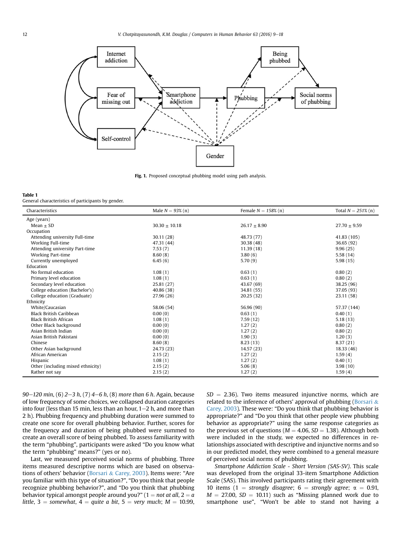

Fig. 1. Proposed conceptual phubbing model using path analysis.

#### Table 1

General characteristics of participants by gender.

| Characteristics                   | Male $N = 93\%$ (n) | Female $N = 158\%$ (n) | Total $N = 251\%$ (n) |
|-----------------------------------|---------------------|------------------------|-----------------------|
|                                   |                     |                        |                       |
| Age (years)                       |                     |                        |                       |
| Mean $\pm$ SD                     | $30.30 \pm 10.18$   | $26.17 \pm 8.90$       | $27.70 \pm 9.59$      |
| Occupation                        |                     |                        |                       |
| Attending university Full-time    | 30.11 (28)          | 48.73 (77)             | 41.83 (105)           |
| Working Full-time                 | 47.31 (44)          | 30.38 (48)             | 36.65 (92)            |
| Attending university Part-time    | 7.53(7)             | 11.39(18)              | 9.96(25)              |
| <b>Working Part-time</b>          | 8.60(8)             | 3.80(6)                | 5.58(14)              |
| Currently unemployed              | 6.45(6)             | 5.70(9)                | 5.98(15)              |
| Education                         |                     |                        |                       |
| No formal education               | 1.08(1)             | 0.63(1)                | 0.80(2)               |
| Primary level education           | 1.08(1)             | 0.63(1)                | 0.80(2)               |
| Secondary level education         | 25.81 (27)          | 43.67 (69)             | 38.25 (96)            |
| College education (Bachelor's)    | 40.86 (38)          | 34.81 (55)             | 37.05 (93)            |
| College education (Graduate)      | 27.96 (26)          | 20.25(32)              | 23.11 (58)            |
| Ethnicity                         |                     |                        |                       |
| White/Caucasian                   | 58.06 (54)          | 56.96 (90)             | 57.37 (144)           |
| Black British Caribbean           | 0.00(0)             | 0.63(1)                | 0.40(1)               |
| <b>Black British African</b>      | 1.08(1)             | 7.59(12)               | 5.18(13)              |
| Other Black background            | 0.00(0)             | 1,27(2)                | 0.80(2)               |
| Asian British Indian              | 0.00(0)             | 1.27(2)                | 0.80(2)               |
| Asian British Pakistani           | 0.00(0)             | 1.90(3)                | 1,20(3)               |
| Chinese                           | 8.60(8)             | 8.23(13)               | 8.37(21)              |
| Other Asian background            | 24.73 (23)          | 14.57(23)              | 18.33(46)             |
| African American                  | 2.15(2)             | 1.27(2)                | 1.59(4)               |
| Hispanic                          | 1.08(1)             | 1.27(2)                | 0.40(1)               |
| Other (including mixed ethnicity) | 2.15(2)             | 5.06(8)                | 3.98(10)              |
| Rather not say                    | 2.15(2)             | 1.27(2)                | 1.59(4)               |

*90*e*120 min*, (6) *2*e*3 h*, (7) *4*e*6 h*, (8) *more than 6 h*. Again, because of low frequency of some choices, we collapsed duration categories into four (less than 15 min, less than an hour,  $1-2$  h, and more than 2 h). Phubbing frequency and phubbing duration were summed to create one score for overall phubbing behavior. Further, scores for the frequency and duration of being phubbed were summed to create an overall score of being phubbed. To assess familiarity with the term "phubbing", participants were asked "Do you know what the term "phubbing" means?" (yes or no).

Last, we measured perceived social norms of phubbing. Three items measured descriptive norms which are based on observations of others' behavior [\(Borsari](#page-8-0) & [Carey, 2003](#page-8-0)). Items were: "Are you familiar with this type of situation?", "Do you think that people recognize phubbing behavior?", and "Do you think that phubbing behavior typical amongst people around you?"  $(1 = not at all, 2 = a$ *little*,  $3 =$  *somewhat*,  $4 =$  *quite a bit*,  $5 =$  *very much*;  $M = 10.99$ ,  $SD = 2.36$ ). Two items measured injunctive norms, which are related to the inference of others' approval of phubbing [\(Borsari](#page-8-0)  $\&$ [Carey, 2003\)](#page-8-0). These were: "Do you think that phubbing behavior is appropriate?" and "Do you think that other people view phubbing behavior as appropriate?" using the same response categories as the previous set of questions ( $M = 4.06$ ,  $SD = 1.38$ ). Although both were included in the study, we expected no differences in relationships associated with descriptive and injunctive norms and so in our predicted model, they were combined to a general measure of perceived social norms of phubbing.

*Smartphone Addiction Scale - Short Version (SAS-SV)*. This scale was developed from the original 33-item Smartphone Addiction Scale (SAS). This involved participants rating their agreement with 10 items (1 = *strongly disagree*; 6 = *strongly agree*;  $\alpha = 0.91$ ,  $M = 27.00$ ,  $SD = 10.11$ ) such as "Missing planned work due to smartphone use", "Won't be able to stand not having a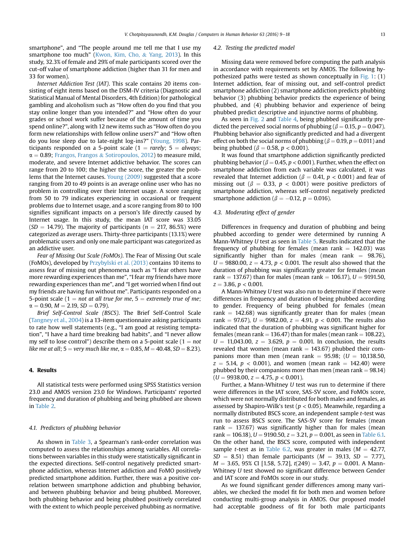<span id="page-5-0"></span>smartphone", and "The people around me tell me that I use my smartphone too much" [\(Kwon, Kim, Cho,](#page-9-0) & [Yang, 2013\)](#page-9-0). In this study, 32.3% of female and 29% of male participants scored over the cut-off value of smartphone addiction (higher than 31 for men and 33 for women).

*Internet Addiction Test (IAT)*. This scale contains 20 items consisting of eight items based on the DSM-IV criteria (Diagnostic and Statistical Manual of Mental Disorders, 4th Edition) for pathological gambling and alcoholism such as "How often do you find that you stay online longer than you intended?" and "How often do your grades or school work suffer because of the amount of time you spend online?", along with 12 new items such as "How often do you form new relationships with fellow online users?" and "How often do you lose sleep due to late-night log-ins?" [\(Young, 1998](#page-9-0)). Participants responded on a 5-point scale  $(1 = rarely; 5 = always;$  $\alpha = 0.89$ ; [Frangos, Frangos](#page-8-0) & [Sotiropoulos, 2012](#page-8-0)) to measure mild, moderate, and severe Internet addictive behavior. The scores can range from 20 to 100; the higher the score, the greater the problems that the Internet causes. [Young \(2009\)](#page-9-0) suggested that a score ranging from 20 to 49 points is an average online user who has no problem in controlling over their Internet usage. A score ranging from 50 to 79 indicates experiencing in occasional or frequent problems due to Internet usage, and a score ranging from 80 to 100 signifies significant impacts on a person's life directly caused by Internet usage. In this study, the mean IAT score was 33.05  $(SD = 14.79)$ . The majority of participants ( $n = 217, 86.5\%$ ) were categorized as average users. Thirty-three participants (13.1%) were problematic users and only one male participant was categorized as an addictive user.

*Fear of Missing Out Scale (FoMOs)*. The Fear of Missing Out scale (FoMOs), developed by [Przybylski et al. \(2013\)](#page-9-0) contains 10 items to assess fear of missing out phenomena such as "I fear others have more rewarding experiences than me", "I fear my friends have more rewarding experiences than me", and "I get worried when I find out my friends are having fun without me". Participants responded on a 5-point scale ( $1 = not$  *at all true for me*,  $5 =$  *extremely true of me*;  $\alpha = 0.90, M = 2.19, SD = 0.79$ .

*Brief Self-Control Scale (BSCS)*. The Brief Self-Control Scale ([Tangney et al., 2004](#page-9-0)) is a 13-item questionnaire asking participants to rate how well statements (e.g., "I am good at resisting temptation", "I have a hard time breaking bad habits", and "I never allow my self to lose control") describe them on a 5-point scale  $(1 = not$ *like me at all*;  $5 = \text{very much like me}$ ,  $\alpha = 0.85$ ,  $M = 40.48$ ,  $SD = 8.23$ ).

#### 4. Results

All statistical tests were performed using SPSS Statistics version 23.0 and AMOS version 23.0 for Windows. Participants' reported frequency and duration of phubbing and being phubbed are shown in Table 2.

#### *4.1. Predictors of phubbing behavior*

As shown in Table 3, a Spearman's rank-order correlation was computed to assess the relationships among variables. All correlations between variables in this study were statistically significant in the expected directions. Self-control negatively predicted smartphone addiction, whereas Internet addiction and FoMO positively predicted smartphone addition. Further, there was a positive correlation between smartphone addiction and phubbing behavior, and between phubbing behavior and being phubbed. Moreover, both phubbing behavior and being phubbed positively correlated with the extent to which people perceived phubbing as normative.

#### *4.2. Testing the predicted model*

Missing data were removed before computing the path analysis in accordance with requirements set by AMOS. The following hypothesized paths were tested as shown conceptually in [Fig. 1](#page-3-0): (1) Internet addiction, fear of missing out, and self-control predict smartphone addiction (2) smartphone addiction predicts phubbing behavior (3) phubbing behavior predicts the experience of being phubbed, and (4) phubbing behavior and experience of being phubbed predict descriptive and injunctive norms of phubbing.

As seen in Fig. 2 and [Table 4](#page-6-0), being phubbed significantly predicted the perceived social norms of phubbing ( $\beta = 0.15$ ,  $p = 0.047$ ). Phubbing behavior also significantly predicted and had a divergent effect on both the social norms of phubbing ( $\beta = 0.19$ ,  $p = 0.011$ ) and being phubbed ( $\beta = 0.58$ ,  $p < 0.001$ ).

It was found that smartphone addiction significantly predicted phubbing behavior ( $\beta = 0.45$ ,  $p < 0.001$ ). Further, when the effect on smartphone addiction from each variable was calculated, it was revealed that Internet addiction ( $\beta = 0.41$ ,  $p < 0.001$ ) and fear of missing out ( $\beta$  = 0.33,  $p$  < 0.001) were positive predictors of smartphone addiction, whereas self-control negatively predicted smartphone addiction ( $\beta = -0.12$ ,  $p = 0.016$ ).

#### *4.3. Moderating effect of gender*

Differences in frequency and duration of phubbing and being phubbed according to gender were determined by running A Mann-Whitney *U* test as seen in [Table 5.](#page-6-0) Results indicated that the frequency of phubbing for females (mean rank  $= 142.03$ ) was significantly higher than for males (mean rank  $= 98.76$ ),  $U = 9880.00, z = 4.73, p < 0.001$ . The result also showed that the duration of phubbing was significantly greater for females (mean rank = 137.67) than for males (mean rank = 106.17),  $U = 9191.50$ ,  $z = 3.86, \, p < 0.001.$ 

A Mann-Whitney *U* test was also run to determine if there were differences in frequency and duration of being phubbed according to gender. Frequency of being phubbed for females (mean rank  $= 142.68$ ) was significantly greater than for males (mean rank = 97.67),  $U = 9982.00$ ,  $z = 4.91$ ,  $p < 0.001$ . The results also indicated that the duration of phubbing was significant higher for females (mean rank = 136.47) than for males (mean rank =  $108.22$ ),  $U = 11,043.00, z = 3.629, p = 0.001$ . In conclusion, the results revealed that women (mean rank  $= 143.67$ ) phubbed their companions more than men (mean rank  $= 95.98$ ; ( $U = 10,138.50$ ,  $z = 5.14$ ,  $p < 0.001$ ), and women (mean rank  $= 142.40$ ) were phubbed by their companions more than men (mean rank  $= 98.14$ )  $(U = 9938.00, z = 4.75, p < 0.001).$ 

Further, a Mann-Whitney *U* test was run to determine if there were differences in the IAT score, SAS-SV score, and FoMOs score, which were not normally distributed for both males and females, as assessed by Shapiro-Wilk's test (*p* < 0.05). Meanwhile, regarding a normally distributed BSCS score, an independent sample *t*-test was run to assess BSCS score. The SAS-SV score for females (mean rank  $= 137.67$ ) was significantly higher than for males (mean rank = 106.18),  $U = 9190.50$ ,  $z = 3.21$ ,  $p = 0.001$ , as seen in [Table 6.1.](#page-3-0) On the other hand, the BSCS score, computed with independent sample *t*-test as in Table 6.2, was greater in males ( $M = 42.77$ ,  $SD = 8.51$ ) than female participants (*M* = 39.13, *SD* = 7.77),  $M = 3.65, 95\%$  CI [1.58, 5.72],  $t(249) = 3.47, p = 0.001$ . A Mann-Whitney *U* test showed no significant difference between Gender and IAT score and FoMOs score in our study.

As we found significant gender differences among many variables, we checked the model fit for both men and women before conducting multi-group analysis in AMOS. Our proposed model had acceptable goodness of fit for both male participants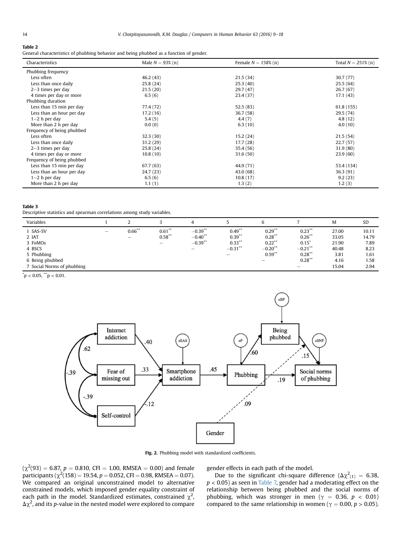#### <span id="page-6-0"></span>Table 2

General characteristics of phubbing behavior and being phubbed as a function of gender.

| Characteristics            | Male $N = 93\%$ (n) | Female $N = 158\%$ (n) | Total $N = 251\%$ (n) |
|----------------------------|---------------------|------------------------|-----------------------|
| Phubbing frequency         |                     |                        |                       |
| Less often                 | 46.2(43)            | 21.5(34)               | 30.7 (77)             |
| Less than once daily       | 25.8(24)            | 25.3(40)               | 25.5(64)              |
| $2-3$ times per day        | 21.5(20)            | 29.7(47)               | 26.7(67)              |
| 4 times per day or more    | 6.5(6)              | 23.4 (37)              | 17.1(43)              |
| Phubbing duration          |                     |                        |                       |
| Less than 15 min per day   | 77.4 (72)           | 52.5(83)               | 61.8 (155)            |
| Less than an hour per day  | 17.2(16)            | 36.7(58)               | 29.5(74)              |
| $1-2$ h per day            | 5.4(5)              | 4.4(7)                 | 4.8(12)               |
| More than 2 h per day      | 0.0(0)              | 6.3(10)                | 4.0(10)               |
| Frequency of being phubbed |                     |                        |                       |
| Less often                 | 32.3(30)            | 15.2(24)               | 21.5(54)              |
| Less than once daily       | 31.2(29)            | 17.7(28)               | 22.7(57)              |
| $2-3$ times per day        | 25.8(24)            | 35.4(56)               | 31.9(80)              |
| 4 times per day or more    | 10.8(10)            | 31.6(50)               | 23.9(60)              |
| Frequency of being phubbed |                     |                        |                       |
| Less than 15 min per day   | 67.7(63)            | 44.9 (71)              | 53.4 (134)            |
| Less than an hour per day  | 24.7 (23)           | 43.0(68)               | 36.3(91)              |
| $1-2$ h per day            | 6.5(6)              | 10.8(17)               | 9.2(23)               |
| More than 2 h per day      | 1.1(1)              | 1.3(2)                 | 1.2(3)                |

#### Table 3

Descriptive statistics and spearman correlations among study variables.

| Variables                                                                                             |                          |                                                                                        |                             |                                                                    |                                                        | 6                                                                                                                                                                                                                                                                                                                                                                                                                                                    |                                                                                                        | M                                                         | SD                                                     |
|-------------------------------------------------------------------------------------------------------|--------------------------|----------------------------------------------------------------------------------------|-----------------------------|--------------------------------------------------------------------|--------------------------------------------------------|------------------------------------------------------------------------------------------------------------------------------------------------------------------------------------------------------------------------------------------------------------------------------------------------------------------------------------------------------------------------------------------------------------------------------------------------------|--------------------------------------------------------------------------------------------------------|-----------------------------------------------------------|--------------------------------------------------------|
| 1 SAS-SV<br>2 IAT<br>3 FoMOs<br>4 BSCS<br>5 Phubbing<br>6 Being phubbed<br>7 Social Norms of phubbing | $\overline{\phantom{a}}$ | $0.66***$<br>$\hspace{1.0cm} \rule{1.5cm}{0.15cm} \hspace{1.0cm} \rule{1.5cm}{0.15cm}$ | $0.61***$<br>$0.58***$<br>- | $-0.39***$<br>$-0.40$ **<br>$-0.39***$<br>$\overline{\phantom{a}}$ | $0.49***$<br>$0.39***$<br>$0.33***$<br>$-0.31***$<br>- | $0.29$ *'<br>$0.28***$<br>$0.22$ **<br>$-0.20$ **<br>$0.59$ **<br>$\hspace{1.0cm} \hspace{1.0cm} \hspace{1.0cm} \hspace{1.0cm} \hspace{1.0cm} \hspace{1.0cm} \hspace{1.0cm} \hspace{1.0cm} \hspace{1.0cm} \hspace{1.0cm} \hspace{1.0cm} \hspace{1.0cm} \hspace{1.0cm} \hspace{1.0cm} \hspace{1.0cm} \hspace{1.0cm} \hspace{1.0cm} \hspace{1.0cm} \hspace{1.0cm} \hspace{1.0cm} \hspace{1.0cm} \hspace{1.0cm} \hspace{1.0cm} \hspace{1.0cm} \hspace{$ | $0.23***$<br>$0.26***$<br>$0.15^*$<br>$-0.21$ **<br>$0.28***$<br>$0.28***$<br>$\overline{\phantom{a}}$ | 27.00<br>33.05<br>21.90<br>40.48<br>3.81<br>4.16<br>15.04 | 10.11<br>14.79<br>7.89<br>8.23<br>1.61<br>1.58<br>2.94 |

 $p < 0.05$ ,  $p < 0.01$ .



Fig. 2. Phubbing model with standardized coefficients.

 $(\chi^2(93) = 6.87,\, p = 0.810,\, \text{CFI} = 1.00,\, \text{RMSEA} = 0.00)$  and female participants ( $\chi^2(158)$  = 19.54, *p* = 0.052, CFI = 0.98, RMSEA = 0.07). We compared an original unconstrained model to alternative constrained models, which imposed gender equality constraint of each path in the model. Standardized estimates, constrained  $\chi^2$ ,  $\Delta\chi^2$ , and its *p*-value in the nested model were explored to compare

gender effects in each path of the model.

Due to the significant chi-square difference  $(\Delta \chi^2_{(1)} = 6.38,$ *p* < 0.05) as seen in [Table 7,](#page-7-0) gender had a moderating effect on the relationship between being phubbed and the social norms of phubbing, which was stronger in men ( $\gamma = 0.36$ ,  $p < 0.01$ ) compared to the same relationship in women ( $\gamma = 0.00$ ,  $p > 0.05$ ).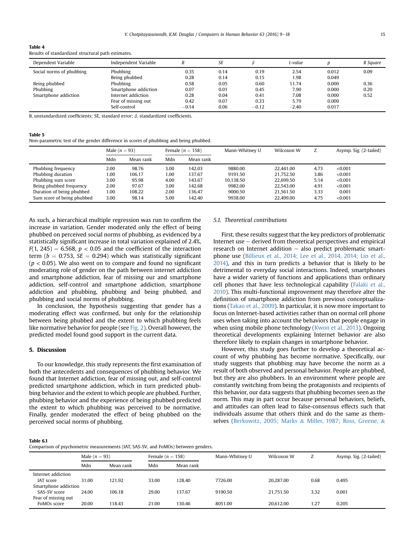<span id="page-7-0"></span>

|--|--|

| Dependent Variable       | Independent Variable                | B               | <b>SE</b>    |                 | t-value         | n              | R Square |
|--------------------------|-------------------------------------|-----------------|--------------|-----------------|-----------------|----------------|----------|
| Social norms of phubbing | Phubbing<br>Being phubbed           | 0.35<br>0.28    | 0.14<br>0.14 | 0.19<br>0.15    | 2.54<br>1.98    | 0.012<br>0.049 | 0.09     |
| Being phubbed            | Phubbing                            | 0.58            | 0.05         | 0.60            | 11.74           | 0.000          | 0.36     |
| Phubbing                 | Smartphone addiction                | 0.07            | 0.01         | 0.45            | 7.90            | 0.000          | 0.20     |
| Smartphone addiction     | Internet addiction                  | 0.28            | 0.04         | 0.41            | 7.08            | 0.000          | 0.52     |
|                          | Fear of missing out<br>Self-control | 0.42<br>$-0.14$ | 0.07<br>0.06 | 0.33<br>$-0.12$ | 5.79<br>$-2.40$ | 0.000<br>0.017 |          |

B, unstandardized coefficients; SE, standard error;  $\beta$ , standardized coefficients.

#### Table 5

Non-parametric test of the gender difference in scores of phubbing and being phubbed.

|                            | Male $(n = 93)$ |           |      | Female ( $n = 158$ ) | Mann-Whitney U | Wilcoxon W | Ζ    | Asymp. Sig. (2-tailed) |
|----------------------------|-----------------|-----------|------|----------------------|----------------|------------|------|------------------------|
|                            | Mdn             | Mean rank | Mdn  | Mean rank            |                |            |      |                        |
| Phubbing frequency         | 2.00            | 98.76     | 3.00 | 142.03               | 9880.00        | 22,441.00  | 4.73 | < 0.001                |
| Phubbing duration          | 1.00            | 106.17    | 1.00 | 137.67               | 9191.50        | 21.752.50  | 3.86 | < 0.001                |
| Phubbing sum score         | 3.00            | 95.98     | 4.00 | 143.67               | 10.138.50      | 22.699.50  | 5.14 | < 0.001                |
| Being phubbed frequency    | 2.00            | 97.67     | 3.00 | 142.68               | 9982.00        | 22.543.00  | 4.91 | < 0.001                |
| Duration of being phubbed  | 1.00            | 108.22    | 2.00 | 136.47               | 9000.50        | 21.561.50  | 3.33 | 0.001                  |
| Sum score of being phubbed | 3.00            | 98.14     | 5.00 | 142.40               | 9938.00        | 22,499.00  | 4.75 | < 0.001                |

As such, a hierarchical multiple regression was run to confirm the increase in variation. Gender moderated only the effect of being phubbed on perceived social norms of phubbing, as evidenced by a statistically significant increase in total variation explained of 2.4%,  $F(1, 245) = 6.568$ ,  $p < 0.05$  and the coefficient of the interaction term ( $b = 0.753$ ,  $SE = 0.294$ ) which was statistically significant  $(p < 0.05)$ . We also went on to compare and found no significant moderating role of gender on the path between internet addiction and smartphone addiction, fear of missing our and smartphone addiction, self-control and smartphone addiction, smartphone addiction and phubbing, phubbing and being phubbed, and phubbing and social norms of phubbing.

In conclusion, the hypothesis suggesting that gender has a moderating effect was confirmed, but only for the relationship between being phubbed and the extent to which phubbing feels like normative behavior for people (see [Fig. 2\)](#page-5-0). Overall however, the predicted model found good support in the current data.

#### 5. Discussion

To our knowledge, this study represents the first examination of both the antecedents and consequences of phubbing behavior. We found that Internet addiction, fear of missing out, and self-control predicted smartphone addiction, which in turn predicted phubbing behavior and the extent to which people are phubbed. Further, phubbing behavior and the experience of being phubbed predicted the extent to which phubbing was perceived to be normative. Finally, gender moderated the effect of being phubbed on the perceived social norms of phubbing.

#### *5.1. Theoretical contributions*

First, these results suggest that the key predictors of problematic Internet use  $-$  derived from theoretical perspectives and empirical research on Internet addition  $-$  also predict problematic smartphone use ([Billieux et al., 2014; Lee et al., 2014, 2014; Lin et al.,](#page-8-0) [2014\)](#page-8-0), and this in turn predicts a behavior that is likely to be detrimental to everyday social interactions. Indeed, smartphones have a wider variety of functions and applications than ordinary cell phones that have less technological capability ([Falaki et al.,](#page-8-0) [2010\)](#page-8-0). This multi-functional improvement may therefore alter the definition of smartphone addiction from previous conceptualizations [\(Takao et al., 2009\)](#page-9-0). In particular, it is now more important to focus on Internet-based activities rather than on normal cell phone uses when taking into account the behaviors that people engage in when using mobile phone technology [\(Kwon et al., 2013\)](#page-9-0). Ongoing theoretical developments explaining Internet behavior are also therefore likely to explain changes in smartphone behavior.

However, this study goes further to develop a theoretical account of why phubbing has become normative. Specifically, our study suggests that phubbing may have become the norm as a result of both observed and personal behavior. People are phubbed, but they are also phubbers. In an environment where people are constantly switching from being the protagonists and recipients of this behavior, our data suggests that phubbing becomes seen as the norm. This may in part occur because personal behaviors, beliefs, and attitudes can often lead to false-consensus effects such that individuals assume that others think and do the same as themselves ([Berkowitz, 2005; Marks](#page-8-0) & [Miller, 1987; Ross, Greene,](#page-8-0) &

#### Table 6.1

Comparison of psychometric measurements (IAT, SAS-SV, and FoMOs) between genders.

|                                                         | Male ( $n = 93$ ) |           | Female ( $n = 158$ ) |           | Mann-Whitney U | Wilcoxon W | Z    | Asymp. Sig. (2-tailed) |
|---------------------------------------------------------|-------------------|-----------|----------------------|-----------|----------------|------------|------|------------------------|
|                                                         | Mdn               | Mean rank | Mdn                  | Mean rank |                |            |      |                        |
| Internet addiction<br>IAT score<br>Smartphone addiction | 31.00             | 121.92    | 33.00                | 128.40    | 7726.00        | 20.287.00  | 0.68 | 0.495                  |
| SAS-SV score<br>Fear of missing out                     | 24.00             | 106.18    | 29.00                | 137.67    | 9190.50        | 21.751.50  | 3.32 | 0.001                  |
| FoMOs score                                             | 20.00             | 118.43    | 21.00                | 130.46    | 8051.00        | 20.612.00  | 1.27 | 0.205                  |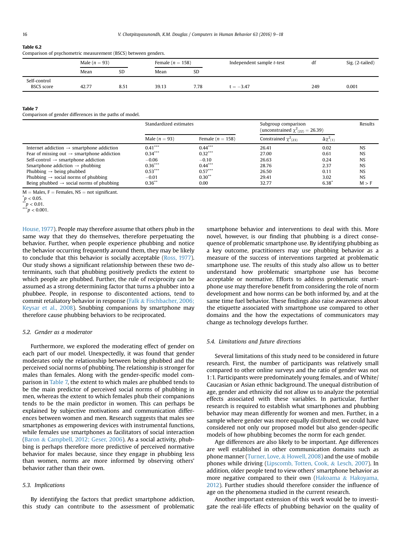#### <span id="page-8-0"></span>Table 6.2

Comparison of psychometric measurement (BSCS) between genders.

|                   |       | Male $(n = 93)$ |       | Female ( $n = 158$ ) | Independent sample t-test | df  | Sig. (2-tailed) |
|-------------------|-------|-----------------|-------|----------------------|---------------------------|-----|-----------------|
|                   | Mean  | SD              | Mean  | <b>SD</b>            |                           |     |                 |
| Self-control      |       |                 |       |                      |                           |     |                 |
| <b>BSCS</b> score | 42.77 | 8.51            | 39.13 | 7.78                 | $t = -3.47$               | 249 | 0.001           |

#### Table 7

Comparison of gender differences in the paths of model.

|                                                        | Standardized estimates |                      | Subgroup comparison<br>(unconstrained $\chi^2_{(22)} = 26.39$ ) |                      | Results   |
|--------------------------------------------------------|------------------------|----------------------|-----------------------------------------------------------------|----------------------|-----------|
|                                                        | Male $(n = 93)$        | Female ( $n = 158$ ) | Constrained $\gamma^2$ <sub>(23)</sub>                          | $\Delta\chi^2_{(1)}$ |           |
| Internet addiction $\rightarrow$ smartphone addiction  | $0.41***$              | $0.44***$            | 26.41                                                           | 0.02                 | NS        |
| Fear of missing out $\rightarrow$ smartphone addiction | $0.34***$              | $0.32***$            | 27.00                                                           | 0.61                 | NS        |
| Self-control $\rightarrow$ smartphone addiction        | $-0.06$                | $-0.10$              | 26.63                                                           | 0.24                 | <b>NS</b> |
| Smartphone addiction $\rightarrow$ phubbing            | $0.36***$              | $0.44***$            | 28.76                                                           | 2.37                 | <b>NS</b> |
| Phubbing $\rightarrow$ being phubbed                   | $0.53***$              | $0.57***$            | 26.50                                                           | 0.11                 | <b>NS</b> |
| Phubbing $\rightarrow$ social norms of phubbing        | $-0.01$                | $0.30***$            | 29.41                                                           | 3.02                 | NS.       |
| Being phubbed $\rightarrow$ social norms of phubbing   | $0.36***$              | 0.00                 | 32.77                                                           | $6.38^*$             | M > F     |

 $M =$  Males,  $F =$  Females,  $NS =$  not significant.

 $p < 0.05$ .

 $p < 0.01$ .

House, 1977). People may therefore assume that others phub in the same way that they do themselves, therefore perpetuating the behavior. Further, when people experience phubbing and notice the behavior occurring frequently around them, they may be likely to conclude that this behavior is socially acceptable [\(Ross, 1977\)](#page-9-0). Our study shows a significant relationship between these two determinants, such that phubbing positively predicts the extent to which people are phubbed. Further, the rule of reciprocity can be assumed as a strong determining factor that turns a phubber into a phubbee. People, in response to discontented actions, tend to commit retaliatory behavior in response (Falk & Fischbacher, 2006; Keysar et al., 2008). Snubbing companions by smartphone may therefore cause phubbing behaviors to be reciprocated.

#### *5.2. Gender as a moderator*

Furthermore, we explored the moderating effect of gender on each part of our model. Unexpectedly, it was found that gender moderates only the relationship between being phubbed and the perceived social norms of phubbing. The relationship is stronger for males than females. Along with the gender-specific model comparison in [Table 7,](#page-7-0) the extent to which males are phubbed tends to be the main predictor of perceived social norms of phubbing in men, whereas the extent to which females phub their companions tends to be the main predictor in women. This can perhaps be explained by subjective motivations and communication differences between women and men. Research suggests that males see smartphones as empowering devices with instrumental functions, while females use smartphones as facilitators of social interaction (Baron & Campbell, 2012; Geser, 2006). As a social activity, phubbing is perhaps therefore more predictive of perceived normative behavior for males because, since they engage in phubbing less than women, norms are more informed by observing others' behavior rather than their own.

#### *5.3. Implications*

By identifying the factors that predict smartphone addiction, this study can contribute to the assessment of problematic smartphone behavior and interventions to deal with this. More novel, however, is our finding that phubbing is a direct consequence of problematic smartphone use. By identifying phubbing as a key outcome, practitioners may use phubbing behavior as a measure of the success of interventions targeted at problematic smartphone use. The results of this study also allow us to better understand how problematic smartphone use has become acceptable or normative. Efforts to address problematic smartphone use may therefore benefit from considering the role of norm development and how norms can be both informed by, and at the same time fuel behavior. These findings also raise awareness about the etiquette associated with smartphone use compared to other domains and the how the expectations of communicators may change as technology develops further.

#### *5.4. Limitations and future directions*

Several limitations of this study need to be considered in future research. First, the number of participants was relatively small compared to other online surveys and the ratio of gender was not 1:1. Participants were predominately young females, and of White/ Caucasian or Asian ethnic background. The unequal distribution of age, gender and ethnicity did not allow us to analyze the potential effects associated with these variables. In particular, further research is required to establish what smartphones and phubbing behavior may mean differently for women and men. Further, in a sample where gender was more equally distributed, we could have considered not only our proposed model but also gender-specific models of how phubbing becomes the norm for each gender.

Age differences are also likely to be important. Age differences are well established in other communication domains such as phone manner ([Turner, Love,](#page-9-0) & [Howell, 2008\)](#page-9-0) and the use of mobile phones while driving ([Lipscomb, Totten, Cook,](#page-9-0) & [Lesch, 2007](#page-9-0)). In addition, older people tend to view others' smartphone behavior as more negative compared to their own (Hakoama & Hakoyama, 2012). Further studies should therefore consider the influence of age on the phenomena studied in the current research.

Another important extension of this work would be to investigate the real-life effects of phubbing behavior on the quality of

 $p^*$  < 0.001.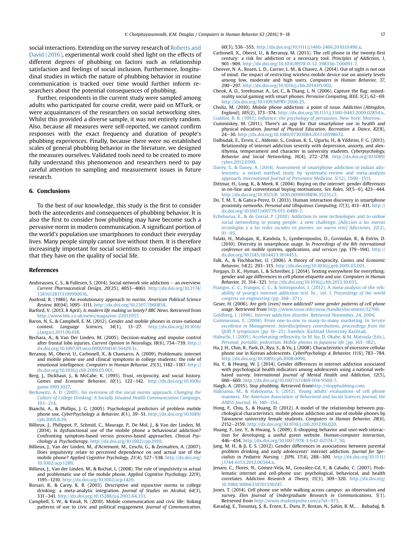<span id="page-9-0"></span>social interactions. Extending on the survey research of Roberts and David (2016), experimental work could shed light on the effects of different degrees of phubbing on factors such as relationship satisfaction and feelings of social inclusion. Furthermore, longitudinal studies in which the nature of phubbing behavior in routine communication is tracked over time would further inform researchers about the potential consequences of phubbing.

Further, respondents in the current study were sampled among adults who participated for course credit, were paid on MTurk, or were acquaintances of the researchers on social networking sites. Whilst this provided a diverse sample, it was not entirely random. Also, because all measures were self-reported, we cannot confirm responses with the exact frequency and duration of people's phubbing experiences. Finally, because there were no established scales of general phubbing behavior in the literature, we designed the measures ourselves. Validated tools need to be created to more fully understand this phenomenon and researchers need to pay careful attention to sampling and measurement issues in future research.

#### 6. Conclusions

To the best of our knowledge, this study is the first to consider both the antecedents and consequences of phubbing behavior. It is also the first to consider how phubbing may have become such a pervasive norm in modern communication. A significant portion of the world's population use smartphones to conduct their everyday lives. Many people simply cannot live without them. It is therefore increasingly important for social scientists to consider the impact that they have on the quality of social life.

#### References

- Andreassen, C. S., & Pallesen, S. (2014). Social network site addiction  $-$  an overview. *Current Pharmaceutical Design, 20*(25), 4053-4061. [http://dx.doi.org/10.2174/](http://dx.doi.org/10.2174/13816128113199990616) [13816128113199990616.](http://dx.doi.org/10.2174/13816128113199990616)
- Axelrod, R. (1986). An evolutionary approach to norms. *American Political Science Review, 80*(04), 1095-1111. [http://dx.doi.org/10.2307/1960858.](http://dx.doi.org/10.2307/1960858)
- Barford, V. (2013, 8 April). *Is modern life making us lonely? BBC News*. Retrieved from [http://www.bbc.co.uk/news/magazine-22012957.](http://www.bbc.co.uk/news/magazine-22012957)
- Baron, N. S., & Campbell, E. M. (2012). Gender and mobile phones in cross-national context. *Language Sciences*, 34(1), 13–27. http://dx.doi.org/10.1016/ context. *Language Sciences, 34*(1), 13-27. [http://dx.doi.org/10.1016/](http://dx.doi.org/10.1016/j.langsci.2011.06.018) [j.langsci.2011.06.018](http://dx.doi.org/10.1016/j.langsci.2011.06.018).
- Bechara, A., & Van Der Linden, M. (2005). Decision-making and impulse control after frontal lobe injuries. *Current Opinion in Neurology*, 18(6), 734-739. [http://](http://dx.doi.org/10.1097/01.wco.0000194141.56429.3c) [dx.doi.org/10.1097/01.wco.0000194141.56429.3c.](http://dx.doi.org/10.1097/01.wco.0000194141.56429.3c)
- Beranuy, M., Oberst, U., Carbonell, X., & Chamarro, A. (2009). Problematic internet and mobile phone use and clinical symptoms in college students: the role of emotional intelligence. *Computers in Human Behavior*, 25(5), 1182-1187. [http://](http://dx.doi.org/10.1016/j.chb.2009.03.001) [dx.doi.org/10.1016/j.chb.2009.03.001.](http://dx.doi.org/10.1016/j.chb.2009.03.001)
- Berg, J., Dickhaut, J., & McCabe, K. (1995). Trust, reciprocity, and social history. Games and Economic Behavior, 10(1), 122-142. [http://dx.doi.org/10.1006/](http://dx.doi.org/10.1006/game.1995.1027) [game.1995.1027.](http://dx.doi.org/10.1006/game.1995.1027)
- [Berkowitz, A. D. \(2005\). An overview of the social norms approach.](http://refhub.elsevier.com/S0747-5632(16)30345-4/sref8) *Changing the [Culture of College Drinking: A Socially Situated Health Communication Campaign](http://refhub.elsevier.com/S0747-5632(16)30345-4/sref8)*, [193](http://refhub.elsevier.com/S0747-5632(16)30345-4/sref8)-[214](http://refhub.elsevier.com/S0747-5632(16)30345-4/sref8).
- Bianchi, A., & Phillips, J. G. (2005). Psychological predictors of problem mobile phone use. *CyberPsychology & Behavior*, 8(1), 39-51. [http://dx.doi.org/10.1089/](http://dx.doi.org/10.1089/cpb.2005.8.39) [cpb.2005.8.39.](http://dx.doi.org/10.1089/cpb.2005.8.39)
- Billieux, J., Philippot, P., Schmid, C., Maurage, P., De Mol, J., & Van der Linden, M. (2014). Is dysfunctional use of the mobile phone a behavioural addiction? Confronting symptom-based versus process-based approaches. *Clinical Psychology* & *Psychotherapy*. [http://dx.doi.org/10.1002/cpp.1910.](http://dx.doi.org/10.1002/cpp.1910)
- Billieux, J., Van der Linden, M., d'Acremont, M., Ceschi, G., & Zermatten, A. (2007). Does impulsivity relate to perceived dependence on and actual use of the mobile phone? *Applied Cognitive Psychology, 21*(4), 527-538. [http://dx.doi.org/](http://dx.doi.org/10.1002/acp.1289) [10.1002/acp.1289](http://dx.doi.org/10.1002/acp.1289).
- Billieux, J., Van der Linden, M., & Rochat, L. (2008). The role of impulsivity in actual and problematic use of the mobile phone. *Applied Cognitive Psychology, 22*(9), 1195-1210. [http://dx.doi.org/10.1002/acp.1429.](http://dx.doi.org/10.1002/acp.1429)
- Borsari, B., & Carey, K. B. (2003). Descriptive and injunctive norms in college drinking: a meta-analytic integration. *Journal of Studies on Alcohol, 64*(3), 331e341. [http://dx.doi.org/10.15288/jsa.2003.64.331.](http://dx.doi.org/10.15288/jsa.2003.64.331)
- Campbell, S. W., & Kwak, N. (2010). Mobile communication and civic life: linking patterns of use to civic and political engagement. *Journal of Communication,*

60(3), 536–555. <http://dx.doi.org/10.1111/j.1460-2466.2010.01496.x>.

- Carbonell, X., Oberst, U., & Beranuy, M. (2013). The cell phone in the twenty-first century: a risk for addiction or a necessary tool. *Principles of Addiction, 1*, 901-909. http://dx.doi.org/10.1016/B978-0-12-398336-7.00091-7
- Cheever, N. A., Rosen, L. D., Carrier, L. M., & Chavez, A. (2014). Out of sight is not out of mind: the impact of restricting wireless mobile device use on anxiety levels among low, moderate and high users. *Computers in Human Behavior, 37*, 290-297. [http://dx.doi.org/10.1016/j.chb.2014.05.002.](http://dx.doi.org/10.1016/j.chb.2014.05.002)
- Cheok, A. D., Sreekumar, A., Lei, C., & Thang, L. N. (2006). Capture the flag: mixedreality social gaming with smart phones. *Pervasive Computing, IEEE, 5(2), 62–69.* <http://dx.doi.org/10.1109/MPRV.2006.25>.
- Choliz, M. (2010). Mobile phone addiction: a point of issue. *Addiction (Abingdon,* England), 105(2), 373-374. <http://dx.doi.org/10.1111/j.1360-0443.2009.02854.x>.
- Cialdini, R. B. (1993). *In*fl*[uence: the psychology of persuasion](http://refhub.elsevier.com/S0747-5632(16)30345-4/sref19)*. New York: Morrow. Cummiskey, M. (2011). There's an app for that smartphone use in health and physical education. *Journal of Physical Education, Recreation* & *Dance, 82*(8), 24-30. http://dx.doi.org/10.1080/07303084.2011.10598672
- Dalbudak, E., Evren, C., Aldemir, S., Coskun, K. S., Ugurlu, H., & Yildirim, F. G. (2013). Relationship of internet addiction severity with depression, anxiety, and alexithymia, temperament and character in university students. *Cyberpsychology,* Behavior and Social Networking, 16(4), 272-278. [http://dx.doi.org/10.1089/](http://dx.doi.org/10.1089/cyber.2012.0390) [cyber.2012.0390.](http://dx.doi.org/10.1089/cyber.2012.0390)
- [Davey, S., & Davey, A. \(2014\). Assessment of smartphone addiction in indian ado](http://refhub.elsevier.com/S0747-5632(16)30345-4/sref22)[lescents: a mixed method study by systematic-review and meta-analysis](http://refhub.elsevier.com/S0747-5632(16)30345-4/sref22) approach. *International Journal of Preventive Medicine*, 5(12), 1500-[1511.](http://refhub.elsevier.com/S0747-5632(16)30345-4/sref22)
- Dittmar, H., Long, K., & Meek, R. (2004). Buying on the internet: gender differences in on-line and conventional buying motivations. Sex Roles, 50(5-6), 423-444. [http://dx.doi.org/10.1023/B: SERS.0000018896.35251.c7.](http://dx.doi.org/10.1023/B: SERS.0000018896.35251.c7)
- Do, T. M. T., & Gatica-Perez, D. (2013). Human interaction discovery in smartphone proximity networks. Personal and Ubiquitous Computing, 17(3), 413-431. [http://](http://dx.doi.org/10.1007/s00779-011-0489-7) [dx.doi.org/10.1007/s00779-011-0489-7.](http://dx.doi.org/10.1007/s00779-011-0489-7)
- [Echeburua, E., & de Corral, P. \(2010\). Addiction to new technologies and to online](http://refhub.elsevier.com/S0747-5632(16)30345-4/sref25) [social networking in young people: a new challenge.](http://refhub.elsevier.com/S0747-5632(16)30345-4/sref25) *[Adiccion a las nuevas [tecnologias y a las redes sociales en jovenes: un nuevo reto\] Adicciones, 22](http://refhub.elsevier.com/S0747-5632(16)30345-4/sref25)*(2),  $91 - 95.$  $91 - 95.$  $91 - 95.$
- Falaki, H., Mahajan, R., Kandula, S., Lymberopoulos, D., Govindan, R., & Estrin, D. (2010). Diversity in smartphone usage. In *Proceedings of the 8th international conference on mobile systems, applications, and services* (pp. 179-194). [http://](http://dx.doi.org/10.1145/1814433.1814453) [dx.doi.org/10.1145/1814433.1814453](http://dx.doi.org/10.1145/1814433.1814453).
- Falk, A., & Fischbacher, U. (2006). A theory of reciprocity. *Games and Economic* Behavior, 54(2), 293-315. [http://dx.doi.org/10.1016/j.geb.2005.03.001.](http://dx.doi.org/10.1016/j.geb.2005.03.001)
- Forgays, D. K., Hyman, I., & Schreiber, J. (2014). Texting everywhere for everything: gender and age differences in cell phone etiquette and use. *Computers in Human* Behavior, 31, 314-321. [http://dx.doi.org/10.1016/j.chb.2013.10.053.](http://dx.doi.org/10.1016/j.chb.2013.10.053)
- [Frangos, C. C., Frangos, C. C., & Sotiropoulos, I. \(2012\). A meta-analysis of the reli](http://refhub.elsevier.com/S0747-5632(16)30345-4/sref29)ability of young'[s internet addiction test. In](http://refhub.elsevier.com/S0747-5632(16)30345-4/sref29) *, vol. 1*. *Proceedings of the world [congress on engineering](http://refhub.elsevier.com/S0747-5632(16)30345-4/sref29)* (pp. 368-[371\)](http://refhub.elsevier.com/S0747-5632(16)30345-4/sref29).
- Geser, H. (2006). *Are girls (even) more addicted? some gender patterns of cell phone usage*. Retrieved from [http://www.ssoar.info/ssoar/handle/document/32700.](http://www.ssoar.info/ssoar/handle/document/32700)
- Goldberg, I. (1996). *Internet addiction disorder*[. Retrieved November, 24, 2004](http://refhub.elsevier.com/S0747-5632(16)30345-4/sref31).
- [Gummesson, E. \(2004\). From one-to-one to many-to-many marketing. In](http://refhub.elsevier.com/S0747-5632(16)30345-4/sref32) *Service [excellence in Management: Interdisciplinary contributions, proceedings from the](http://refhub.elsevier.com/S0747-5632(16)30345-4/sref32)* **[QUIS 9 symposium](http://refhub.elsevier.com/S0747-5632(16)30345-4/sref32) (pp. 16-[25\). Sweden: Karlstad University Karlstad.](http://refhub.elsevier.com/S0747-5632(16)30345-4/sref32)**
- Habuchi, I. (2005). Accelerating refl[exivity. In M. Ito, D. Okabe, & M. Matsuda \(Eds.\),](http://refhub.elsevier.com/S0747-5632(16)30345-4/sref33) [Personal, portable, pedestrian. Mobile phones in Japanese life](http://refhub.elsevier.com/S0747-5632(16)30345-4/sref33) (pp. 165-[182\)](http://refhub.elsevier.com/S0747-5632(16)30345-4/sref33)
- Ha, J. H., Chin, B., Park, D., Ryu, S., & Yu, J. (2008). Characteristics of excessive cellular phone use in Korean adolescents. *CyberPsychology & Behavior*, 11(6), 783-784. <http://dx.doi.org/10.1089/cpb.2008.0096>.
- Ha, Y., & Hwang, W. J. (2014). Gender differences in internet addiction associated with psychological health indicators among adolescents using a national webbased survey. *International Journal of Mental Health and Addiction, 12*(5), 660e669. [http://dx.doi.org/10.1007/s11469-014-9500-7.](http://dx.doi.org/10.1007/s11469-014-9500-7)

Haigh, A. (2015). *Stop phubbing*. Retrieved from[http://stopphubbing.com.](http://stopphubbing.com)

- [Hakoama, M., & Hakoyama, S. \(2012\). Young adults](http://refhub.elsevier.com/S0747-5632(16)30345-4/sref37)' evaluations of cell phone manners. *[The American Association of Behavioral and Social Sciences Journal, the](http://refhub.elsevier.com/S0747-5632(16)30345-4/sref37) [AABSS Journal, 16](http://refhub.elsevier.com/S0747-5632(16)30345-4/sref37), 140-[154](http://refhub.elsevier.com/S0747-5632(16)30345-4/sref37).*
- Hong, F., Chiu, S., & Huang, D. (2012). A model of the relationship between psychological characteristics, mobile phone addiction and use of mobile phones by Taiwanese university female students. *Computers in Human Behavior, 28*(6), 2152-2159. [http://dx.doi.org/10.1016/j.chb.2012.06.020.](http://dx.doi.org/10.1016/j.chb.2012.06.020)
- Huang, F., Lee, Y., & Hwang, S. (2009). E-shopping behavior and user-web interaction for developing a useful green website. *Human-computer interaction*, 446-454. [http://dx.doi.org/10.1007/978-3-642-02574-7\\_50.](http://dx.doi.org/10.1007/978-3-642-02574-7_50)
- Jang, M. H., & Ji, E. S. (2012). Gender differences in associations between parental problem drinking and early adolescents' internet addiction. *Journal for Specialists in Pediatric Nursing : JSPN, 17*(4), 288-300. [http://dx.doi.org/10.1111/](http://dx.doi.org/10.1111/j.1744-6155.2012.00344.x) [j.1744-6155.2012.00344.x](http://dx.doi.org/10.1111/j.1744-6155.2012.00344.x).
- Jenaro, C., Flores, N., Gómez-Vela, M., González-Gil, F., & Caballo, C. (2007). Problematic internet and cell-phone use: psychological, behavioral, and health correlates. Addiction Research & Theory, 15(3), 309-320. [http://dx.doi.org/](http://dx.doi.org/10.1080/16066350701350247) [10.1080/16066350701350247.](http://dx.doi.org/10.1080/16066350701350247)
- Jones, T. (2014). Cell phone use while walking across campus: an observation and survey. *Elon Journal of Undergraduate Research in Communications, 5*(1). Retrieved from [http://www.studentpulse.com/a?id](http://www.studentpulse.com/a?id=975)=[975](http://www.studentpulse.com/a?id=975)
- Karadağ, E., Tosuntaş, Ş. B., Erzen, E., Duru, P., Bostan, N., Şahin, B. M., ... Babadağ, B.